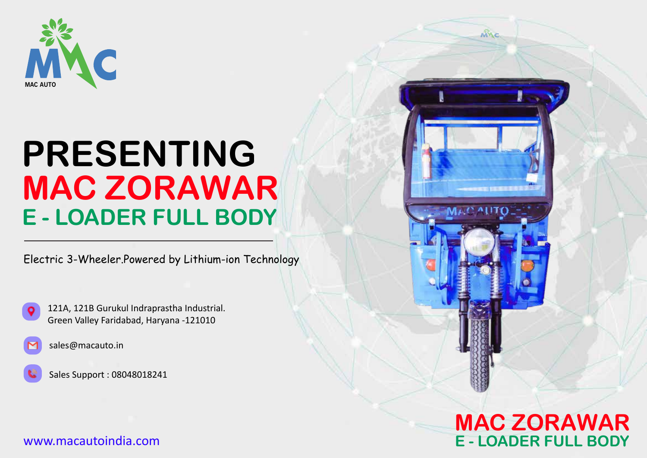

# **PRESENTING MAC ZORAWAR E - LOADER FULL BODY**

Electric 3-Wheeler.Powered by Lithium-ion Technology

**MAC ZORAWAR**

MAC

**E - LOADER FULL BODY**





sales@macauto.in

Sales Support : 08048018241

#### www.macautoindia.com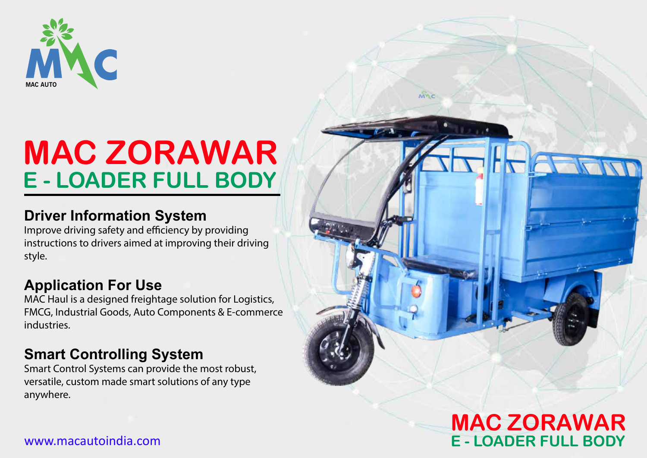

## **MAC ZORAWAR E - LOADER FULL BODY**

### **Driver Information System**

Improve driving safety and efficiency by providing instructions to drivers aimed at improving their driving style.

### **Application For Use**

MAC Haul is a designed freightage solution for Logistics, FMCG, Industrial Goods, Auto Components & E-commerce industries.

### **Smart Controlling System**

Smart Control Systems can provide the most robust, versatile, custom made smart solutions of any type anywhere.

## **MAC ZORAWAR E - LOADER FULL BODY**

мÑс

#### www.macautoindia.com